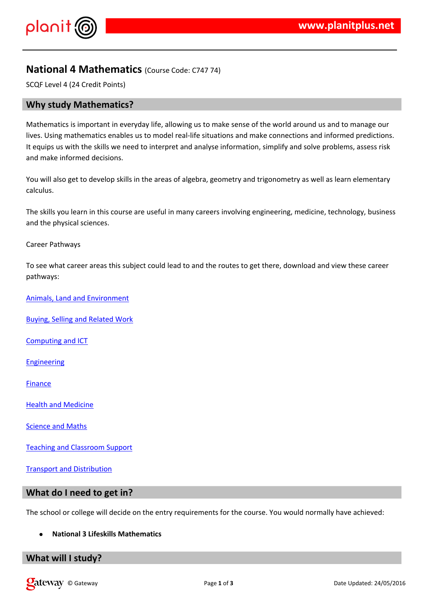#### $!$  " # \$  $\%$  % &

 $'$  ( ) %\* % %)%& & \$% + \$\$ %& & ( \$ && ) &  $$\% # - \% > 0 \text{ ( ) } \% * = 8 \text{ $>$\$ \$ \% \% \text{ ( ) } \% * \text{ ( $$\{8,8,8,8,8,8\}$ ) } \qquad \text{% } \qquad \text{? } \qquad \text{? } \qquad \text{? } \qquad \text{? } \qquad \text{? } \qquad \text{? } \qquad \text{? } \qquad \text{? } \qquad \text{? } \qquad \text{? } \qquad \text{? } \qquad \text{? } \qquad \text{? } \qquad \text{? } \qquad \text{? } \qquad \text{? } \qquad \text{? } \qquad \text{? } \q$  $0$  1 %  $\qquad$  %  $($ % \$ \$ % & & \$ % & \$ % & \$ % & + %  $)$  \$\$ % + & % 8. ), %& )\*% % & -

 $2\frac{6}{5}$   $2\frac{6}{5}$   $3\frac{6}{5}$   $3\frac{6}{5}$   $3\frac{6}{5}$   $3\frac{6}{5}$   $3\frac{6}{5}$   $3\frac{6}{5}$   $4\frac{6}{5}$   $3\frac{6}{5}$   $3\frac{6}{5}$   $4\frac{6}{5}$   $3\frac{6}{5}$   $3\frac{6}{5}$   $3\frac{6}{5}$   $3\frac{6}{5}$   $3\frac{6}{5}$   $3\frac{6}{5}$   $3\frac{6}{5}$   $3\frac{6}{5}$   $$55$  \$  $*$  \$  $*$  \$ -

 $3($ , %\$\$\$\$&%&(\\$\&\\$\&\\$\\$\\$\\$\%&\\$\%&\\\$%%&&\%&\*\{\\$%\$& & ( ( %\* \$ \*% &\* -

 $\sqrt{ }$ 

3 ( \*  $.4$  (\*% \* \$\$ & (  $.4$   $.4$   $.4$   $.4$   $.4$   $.4$  \$\$ & #%  $\sqrt{2}$ 

 $58\%$ ) \$ + & & & # % & ) &

 $7 \frac{968 + 85\%85}{0}, 9,$ 

6 & % & % &

 $1\%88$ 

 $\therefore$  \$ ( & ' % \* % &

 $*$  % &  $*$  &  $'$  (

 $3 * (% 8 * 8 * 5)$ 

### $3 \& 8 \& 96 \& 96.8$

 $3($  \*(\$\* \$\$ %\$\$ \*% & (& 1 %) & (\* - 2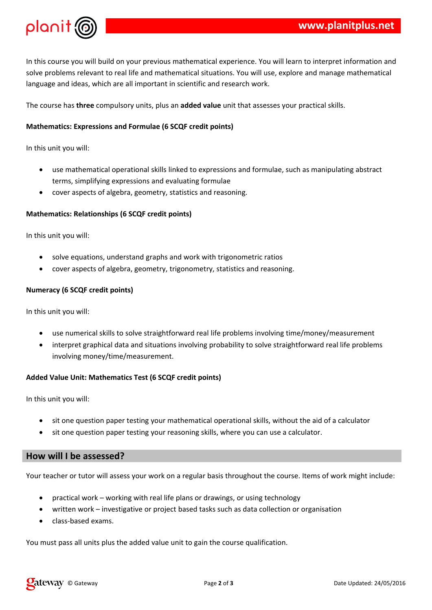

In this course you will build on your previous mathematical experience. You will learn to interpret information and solve problems relevant to real life and mathematical situations. You will use, explore and manage mathematical language and ideas, which are all important in scientific and research work.

The course has **three** compulsory units, plus an **added value** unit that assesses your practical skills.

# **Mathematics: Expressions and Formulae (6 SCQF credit points)**

In this unit you will:

- use mathematical operational skills linked to expressions and formulae, such as manipulating abstract terms, simplifying expressions and evaluating formulae
- cover aspects of algebra, geometry, statistics and reasoning.

## **Mathematics: Relationships (6 SCQF credit points)**

In this unit you will:

- solve equations, understand graphs and work with trigonometric ratios
- cover aspects of algebra, geometry, trigonometry, statistics and reasoning.

### **Numeracy (6 SCQF credit points)**

In this unit you will:

- use numerical skills to solve straightforward real life problems involving time/money/measurement
- interpret graphical data and situations involving probability to solve straightforward real life problems involving money/time/measurement.

## **Added Value Unit: Mathematics Test (6 SCQF credit points)**

In this unit you will:

- sit one question paper testing your mathematical operational skills, without the aid of a calculator
- sit one question paper testing your reasoning skills, where you can use a calculator.

# **How will I be assessed?**

Your teacher or tutor will assess your work on a regular basis throughout the course. Items of work might include:

- practical work working with real life plans or drawings, or using technology
- written work investigative or project based tasks such as data collection or organisation
- class-based exams.

You must pass all units plus the added value unit to gain the course qualification.